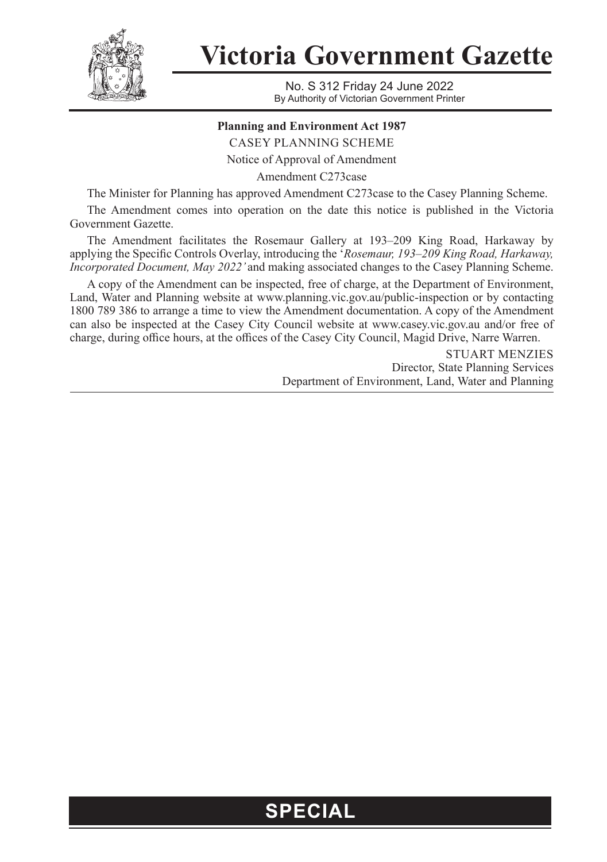

**Victoria Government Gazette**

No. S 312 Friday 24 June 2022 By Authority of Victorian Government Printer

## **Planning and Environment Act 1987**

CASEY PLANNING SCHEME

Notice of Approval of Amendment

Amendment C273case

The Minister for Planning has approved Amendment C273case to the Casey Planning Scheme.

The Amendment comes into operation on the date this notice is published in the Victoria Government Gazette.

The Amendment facilitates the Rosemaur Gallery at 193–209 King Road, Harkaway by applying the Specific Controls Overlay, introducing the '*Rosemaur, 193–209 King Road, Harkaway, Incorporated Document, May 2022'* and making associated changes to the Casey Planning Scheme.

A copy of the Amendment can be inspected, free of charge, at the Department of Environment, Land, Water and Planning website at www.planning.vic.gov.au/public-inspection or by contacting 1800 789 386 to arrange a time to view the Amendment documentation. A copy of the Amendment can also be inspected at the Casey City Council website at www.casey.vic.gov.au and/or free of charge, during office hours, at the offices of the Casey City Council, Magid Drive, Narre Warren.

> STUART MENZIES Director, State Planning Services Department of Environment, Land, Water and Planning

## **SPECIAL**